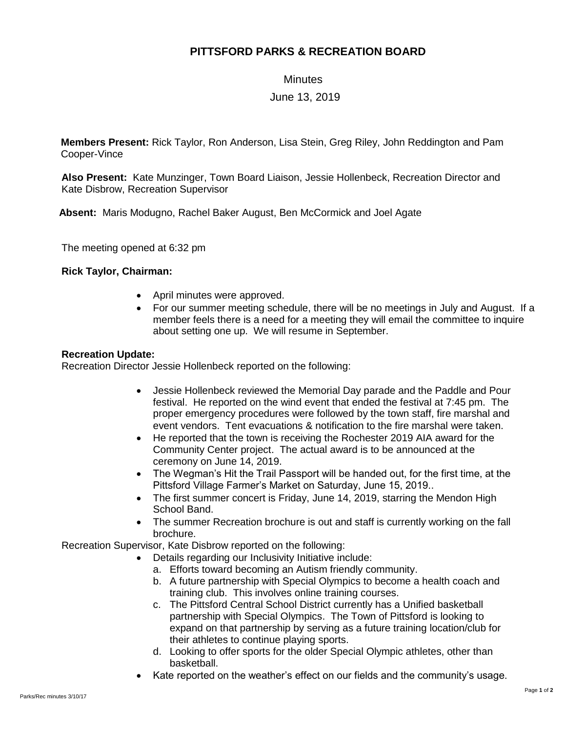# **PITTSFORD PARKS & RECREATION BOARD**

**Minutes** 

## June 13, 2019

**Members Present:** Rick Taylor, Ron Anderson, Lisa Stein, Greg Riley, John Reddington and Pam Cooper-Vince

**Also Present:** Kate Munzinger, Town Board Liaison, Jessie Hollenbeck, Recreation Director and Kate Disbrow, Recreation Supervisor

 **Absent:** Maris Modugno, Rachel Baker August, Ben McCormick and Joel Agate

The meeting opened at 6:32 pm

#### **Rick Taylor, Chairman:**

- April minutes were approved.
- For our summer meeting schedule, there will be no meetings in July and August. If a member feels there is a need for a meeting they will email the committee to inquire about setting one up. We will resume in September.

#### **Recreation Update:**

Recreation Director Jessie Hollenbeck reported on the following:

- Jessie Hollenbeck reviewed the Memorial Day parade and the Paddle and Pour festival. He reported on the wind event that ended the festival at 7:45 pm. The proper emergency procedures were followed by the town staff, fire marshal and event vendors. Tent evacuations & notification to the fire marshal were taken.
- He reported that the town is receiving the Rochester 2019 AIA award for the Community Center project. The actual award is to be announced at the ceremony on June 14, 2019.
- The Wegman's Hit the Trail Passport will be handed out, for the first time, at the Pittsford Village Farmer's Market on Saturday, June 15, 2019..
- The first summer concert is Friday, June 14, 2019, starring the Mendon High School Band.
- The summer Recreation brochure is out and staff is currently working on the fall brochure.

Recreation Supervisor, Kate Disbrow reported on the following:

- Details regarding our Inclusivity Initiative include:
	- a. Efforts toward becoming an Autism friendly community.
	- b. A future partnership with Special Olympics to become a health coach and training club. This involves online training courses.
	- c. The Pittsford Central School District currently has a Unified basketball partnership with Special Olympics. The Town of Pittsford is looking to expand on that partnership by serving as a future training location/club for their athletes to continue playing sports.
	- d. Looking to offer sports for the older Special Olympic athletes, other than basketball.
- Kate reported on the weather's effect on our fields and the community's usage.